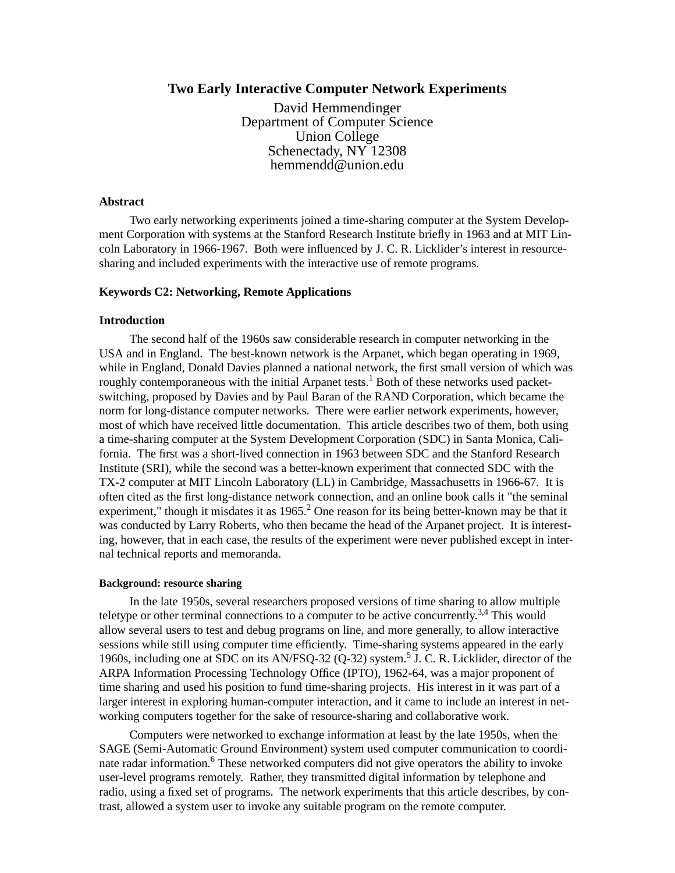# **Two Early Interactive Computer Network Experiments**

David Hemmendinger Department of Computer Science Union College Schenectady, NY 12308 hemmendd@union.edu

### **Abstract**

Two early networking experiments joined a time-sharing computer at the System Development Corporation with systems at the Stanford Research Institute briefly in 1963 and at MIT Lincoln Laboratory in 1966-1967. Both were influenced by J. C. R. Licklider's interest in resourcesharing and included experiments with the interactive use of remote programs.

# **Keywords C2: Networking, Remote Applications**

# **Introduction**

The second half of the 1960s saw considerable research in computer networking in the USA and in England. The best-known network is the Arpanet, which began operating in 1969, while in England, Donald Davies planned a national network, the first small version of which was roughly contemporaneous with the initial Arpanet tests.<sup>1</sup> Both of these networks used packetswitching, proposed by Davies and by Paul Baran of the RAND Corporation, which became the norm for long-distance computer networks. There were earlier network experiments, however, most of which have received little documentation. This article describes two of them, both using a time-sharing computer at the System Development Corporation (SDC) in Santa Monica, California. The first was a short-lived connection in 1963 between SDC and the Stanford Research Institute (SRI), while the second was a better-known experiment that connected SDC with the TX-2 computer at MIT Lincoln Laboratory (LL) in Cambridge, Massachusetts in 1966-67. It is often cited as the first long-distance network connection, and an online book calls it "the seminal experiment," though it misdates it as  $1965<sup>2</sup>$  One reason for its being better-known may be that it was conducted by Larry Roberts, who then became the head of the Arpanet project. It is interesting, however, that in each case, the results of the experiment were never published except in internal technical reports and memoranda.

### **Background: resource sharing**

In the late 1950s, several researchers proposed versions of time sharing to allow multiple teletype or other terminal connections to a computer to be active concurrently.<sup>3,4</sup> This would allow several users to test and debug programs on line, and more generally, to allow interactive sessions while still using computer time efficiently. Time-sharing systems appeared in the early 1960s, including one at SDC on its AN/FSQ-32 (Q-32) system.<sup>5</sup> J. C. R. Licklider, director of the ARPA Information Processing Technology Office (IPTO), 1962-64, was a major proponent of time sharing and used his position to fund time-sharing projects. His interest in it was part of a larger interest in exploring human-computer interaction, and it came to include an interest in networking computers together for the sake of resource-sharing and collaborative work.

Computers were networked to exchange information at least by the late 1950s, when the SAGE (Semi-Automatic Ground Environment) system used computer communication to coordinate radar information.<sup>6</sup> These networked computers did not give operators the ability to invoke user-level programs remotely. Rather, they transmitted digital information by telephone and radio, using a fixed set of programs. The network experiments that this article describes, by contrast, allowed a system user to invoke any suitable program on the remote computer.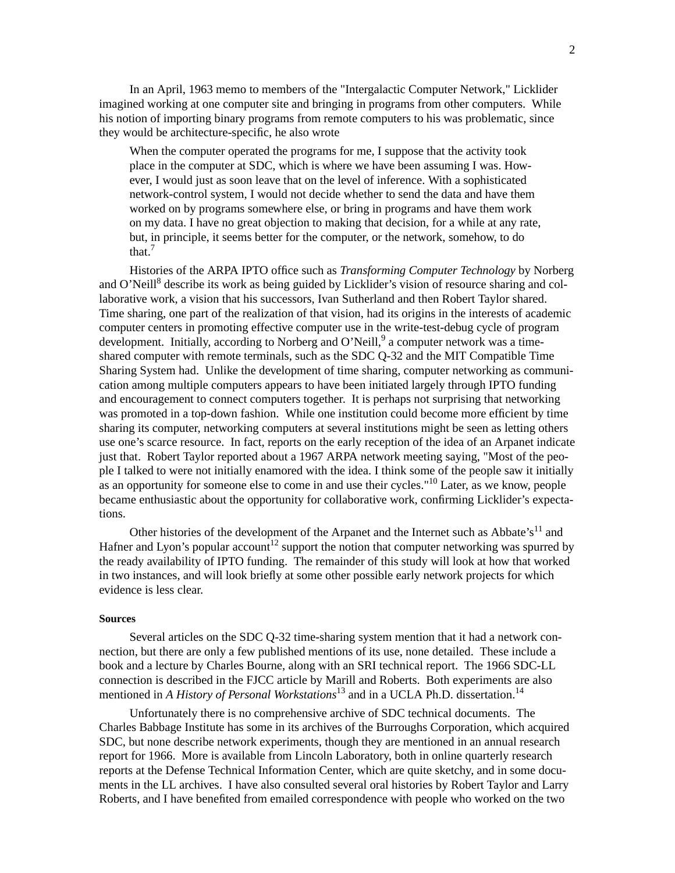In an April, 1963 memo to members of the "Intergalactic Computer Network," Licklider imagined working at one computer site and bringing in programs from other computers. While his notion of importing binary programs from remote computers to his was problematic, since they would be architecture-specific, he also wrote

When the computer operated the programs for me, I suppose that the activity took place in the computer at SDC, which is where we have been assuming I was. However, I would just as soon leave that on the level of inference. With a sophisticated network-control system, I would not decide whether to send the data and have them worked on by programs somewhere else, or bring in programs and have them work on my data. I have no great objection to making that decision, for a while at any rate, but, in principle, it seems better for the computer, or the network, somehow, to do that.<sup>7</sup>

Histories of the ARPA IPTO office such as *Transforming Computer Technology* by Norberg and O'Neill<sup>8</sup> describe its work as being guided by Licklider's vision of resource sharing and collaborative work, a vision that his successors, Ivan Sutherland and then Robert Taylor shared. Time sharing, one part of the realization of that vision, had its origins in the interests of academic computer centers in promoting effective computer use in the write-test-debug cycle of program development. Initially, according to Norberg and O'Neill,<sup>9</sup> a computer network was a timeshared computer with remote terminals, such as the SDC Q-32 and the MIT Compatible Time Sharing System had. Unlike the development of time sharing, computer networking as communication among multiple computers appears to have been initiated largely through IPTO funding and encouragement to connect computers together. It is perhaps not surprising that networking was promoted in a top-down fashion. While one institution could become more efficient by time sharing its computer, networking computers at several institutions might be seen as letting others use one's scarce resource. In fact, reports on the early reception of the idea of an Arpanet indicate just that. Robert Taylor reported about a 1967 ARPA network meeting saying, "Most of the people I talked to were not initially enamored with the idea. I think some of the people saw it initially as an opportunity for someone else to come in and use their cycles."<sup>10</sup> Later, as we know, people became enthusiastic about the opportunity for collaborative work, confirming Licklider's expectations.

Other histories of the development of the Arpanet and the Internet such as Abbate's<sup>11</sup> and Hafner and Lyon's popular account<sup>12</sup> support the notion that computer networking was spurred by the ready availability of IPTO funding. The remainder of this study will look at how that worked in two instances, and will look briefly at some other possible early network projects for which evidence is less clear.

#### **Sources**

Several articles on the SDC Q-32 time-sharing system mention that it had a network connection, but there are only a few published mentions of its use, none detailed. These include a book and a lecture by Charles Bourne, along with an SRI technical report. The 1966 SDC-LL connection is described in the FJCC article by Marill and Roberts. Both experiments are also mentioned in *A History of Personal Workstations*<sup>13</sup> and in a UCLA Ph.D. dissertation.<sup>14</sup>

Unfortunately there is no comprehensive archive of SDC technical documents. The Charles Babbage Institute has some in its archives of the Burroughs Corporation, which acquired SDC, but none describe network experiments, though they are mentioned in an annual research report for 1966. More is available from Lincoln Laboratory, both in online quarterly research reports at the Defense Technical Information Center, which are quite sketchy, and in some documents in the LL archives. I have also consulted several oral histories by Robert Taylor and Larry Roberts, and I have benefited from emailed correspondence with people who worked on the two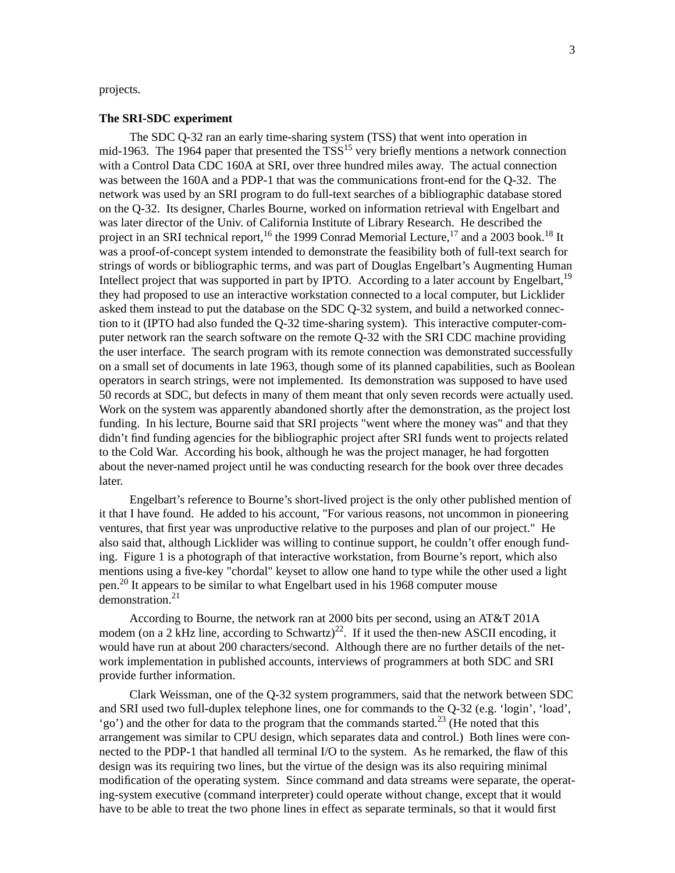## projects.

### **The SRI-SDC experiment**

The SDC Q-32 ran an early time-sharing system (TSS) that went into operation in mid-1963. The 1964 paper that presented the  $TSS^{15}$  very briefly mentions a network connection with a Control Data CDC 160A at SRI, over three hundred miles away. The actual connection was between the 160A and a PDP-1 that was the communications front-end for the Q-32. The network was used by an SRI program to do full-text searches of a bibliographic database stored on the Q-32. Its designer, Charles Bourne, worked on information retrieval with Engelbart and was later director of the Univ. of California Institute of Library Research. He described the project in an SRI technical report, <sup>16</sup> the 1999 Conrad Memorial Lecture, <sup>17</sup> and a 2003 book.<sup>18</sup> It was a proof-of-concept system intended to demonstrate the feasibility both of full-text search for strings of words or bibliographic terms, and was part of Douglas Engelbart's Augmenting Human Intellect project that was supported in part by IPTO. According to a later account by Engelbart,  $19$ they had proposed to use an interactive workstation connected to a local computer, but Licklider asked them instead to put the database on the SDC Q-32 system, and build a networked connection to it (IPTO had also funded the Q-32 time-sharing system). This interactive computer-computer network ran the search software on the remote Q-32 with the SRI CDC machine providing the user interface. The search program with its remote connection was demonstrated successfully on a small set of documents in late 1963, though some of its planned capabilities, such as Boolean operators in search strings, were not implemented. Its demonstration was supposed to have used 50 records at SDC, but defects in many of them meant that only seven records were actually used. Work on the system was apparently abandoned shortly after the demonstration, as the project lost funding. In his lecture, Bourne said that SRI projects "went where the money was" and that they didn't find funding agencies for the bibliographic project after SRI funds went to projects related to the Cold War. According his book, although he was the project manager, he had forgotten about the never-named project until he was conducting research for the book over three decades later.

Engelbart's reference to Bourne's short-lived project is the only other published mention of it that I have found. He added to his account, "For various reasons, not uncommon in pioneering ventures, that first year was unproductive relative to the purposes and plan of our project." He also said that, although Licklider was willing to continue support, he couldn't offer enough funding. Figure 1 is a photograph of that interactive workstation, from Bourne's report, which also mentions using a five-key "chordal" keyset to allow one hand to type while the other used a light pen.<sup>20</sup> It appears to be similar to what Engelbart used in his 1968 computer mouse demonstration.<sup>21</sup>

According to Bourne, the network ran at 2000 bits per second, using an AT&T 201A modem (on a 2 kHz line, according to Schwartz)<sup>22</sup>. If it used the then-new ASCII encoding, it would have run at about 200 characters/second. Although there are no further details of the network implementation in published accounts, interviews of programmers at both SDC and SRI provide further information.

Clark Weissman, one of the Q-32 system programmers, said that the network between SDC and SRI used two full-duplex telephone lines, one for commands to the Q-32 (e.g. 'login', 'load', 'go') and the other for data to the program that the commands started.<sup>23</sup> (He noted that this arrangement was similar to CPU design, which separates data and control.) Both lines were connected to the PDP-1 that handled all terminal I/O to the system. As he remarked, the flaw of this design was its requiring two lines, but the virtue of the design was its also requiring minimal modification of the operating system. Since command and data streams were separate, the operating-system executive (command interpreter) could operate without change, except that it would have to be able to treat the two phone lines in effect as separate terminals, so that it would first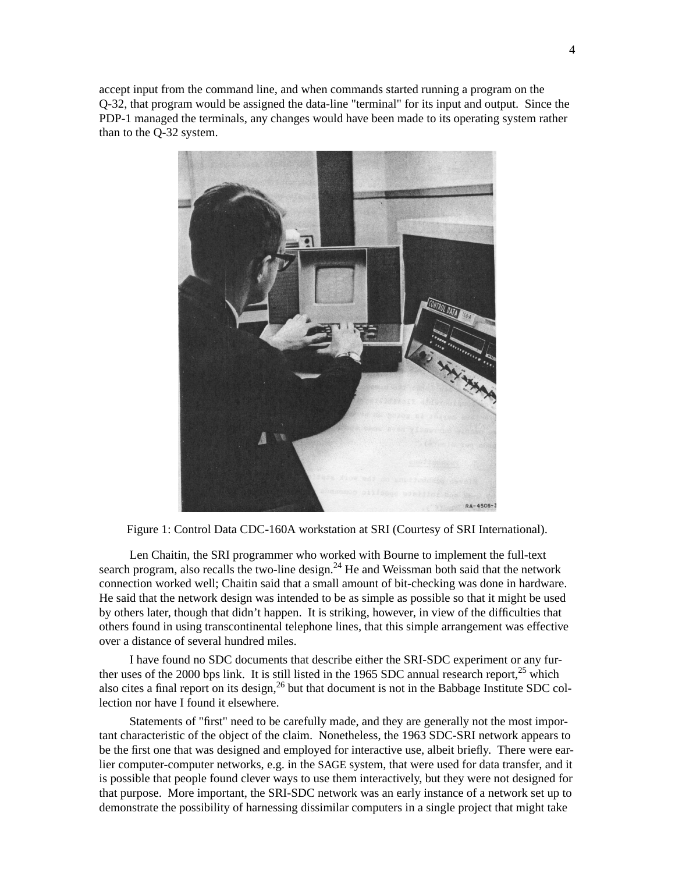accept input from the command line, and when commands started running a program on the Q-32, that program would be assigned the data-line "terminal" for its input and output. Since the PDP-1 managed the terminals, any changes would have been made to its operating system rather than to the Q-32 system.



Figure 1: Control Data CDC-160A workstation at SRI (Courtesy of SRI International).

Len Chaitin, the SRI programmer who worked with Bourne to implement the full-text search program, also recalls the two-line design. $^{24}$  He and Weissman both said that the network connection worked well; Chaitin said that a small amount of bit-checking was done in hardware. He said that the network design was intended to be as simple as possible so that it might be used by others later, though that didn't happen. It is striking, however, in view of the difficulties that others found in using transcontinental telephone lines, that this simple arrangement was effective over a distance of several hundred miles.

I have found no SDC documents that describe either the SRI-SDC experiment or any further uses of the 2000 bps link. It is still listed in the 1965 SDC annual research report, $25$  which also cites a final report on its design,  $26$  but that document is not in the Babbage Institute SDC collection nor have I found it elsewhere.

Statements of "first" need to be carefully made, and they are generally not the most important characteristic of the object of the claim. Nonetheless, the 1963 SDC-SRI network appears to be the first one that was designed and employed for interactive use, albeit briefly. There were earlier computer-computer networks, e.g. in the SAGE system, that were used for data transfer, and it is possible that people found clever ways to use them interactively, but they were not designed for that purpose. More important, the SRI-SDC network was an early instance of a network set up to demonstrate the possibility of harnessing dissimilar computers in a single project that might take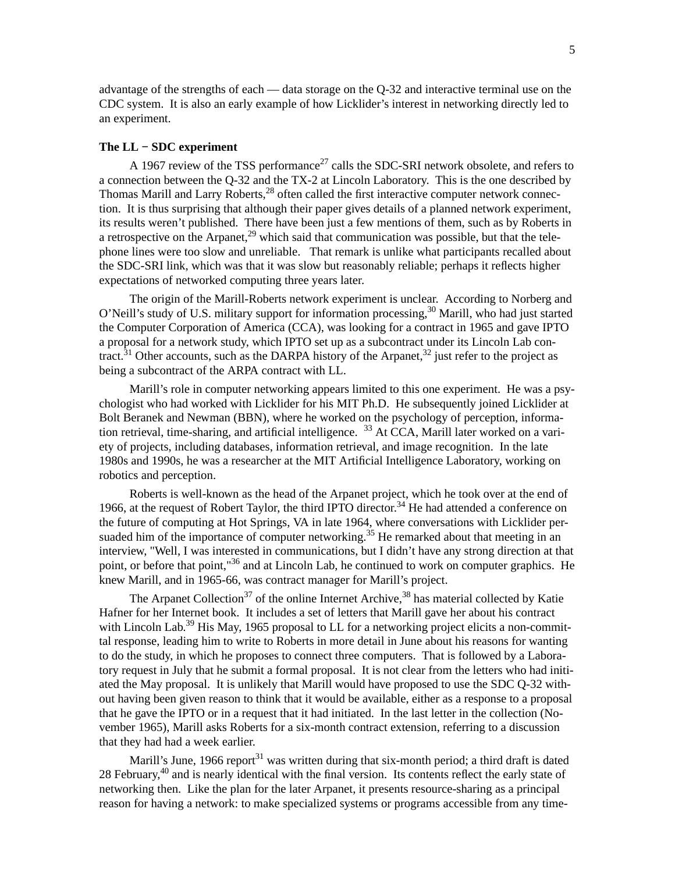advantage of the strengths of each — data storage on the Q-32 and interactive terminal use on the CDC system. It is also an early example of how Licklider's interest in networking directly led to an experiment.

### **The LL − SDC experiment**

A 1967 review of the TSS performance<sup>27</sup> calls the SDC-SRI network obsolete, and refers to a connection between the Q-32 and the TX-2 at Lincoln Laboratory. This is the one described by Thomas Marill and Larry Roberts,<sup>28</sup> often called the first interactive computer network connection. It is thus surprising that although their paper gives details of a planned network experiment, its results weren't published. There have been just a few mentions of them, such as by Roberts in a retrospective on the Arpanet,<sup>29</sup> which said that communication was possible, but that the telephone lines were too slow and unreliable. That remark is unlike what participants recalled about the SDC-SRI link, which was that it was slow but reasonably reliable; perhaps it reflects higher expectations of networked computing three years later.

The origin of the Marill-Roberts network experiment is unclear. According to Norberg and O'Neill's study of U.S. military support for information processing,  $30$  Marill, who had just started the Computer Corporation of America (CCA), was looking for a contract in 1965 and gave IPTO a proposal for a network study, which IPTO set up as a subcontract under its Lincoln Lab contract.<sup>31</sup> Other accounts, such as the DARPA history of the Arpanet,<sup>32</sup> just refer to the project as being a subcontract of the ARPA contract with LL.

Marill's role in computer networking appears limited to this one experiment. He was a psychologist who had worked with Licklider for his MIT Ph.D. He subsequently joined Licklider at Bolt Beranek and Newman (BBN), where he worked on the psychology of perception, information retrieval, time-sharing, and artificial intelligence.  $33$  At CCA, Marill later worked on a variety of projects, including databases, information retrieval, and image recognition. In the late 1980s and 1990s, he was a researcher at the MIT Artificial Intelligence Laboratory, working on robotics and perception.

Roberts is well-known as the head of the Arpanet project, which he took over at the end of 1966, at the request of Robert Taylor, the third IPTO director.<sup>34</sup> He had attended a conference on the future of computing at Hot Springs, VA in late 1964, where conversations with Licklider persuaded him of the importance of computer networking.<sup>35</sup> He remarked about that meeting in an interview, "Well, I was interested in communications, but I didn't have any strong direction at that point, or before that point,"<sup>36</sup> and at Lincoln Lab, he continued to work on computer graphics. He knew Marill, and in 1965-66, was contract manager for Marill's project.

The Arpanet Collection<sup>37</sup> of the online Internet Archive,  $38$  has material collected by Katie Hafner for her Internet book. It includes a set of letters that Marill gave her about his contract with Lincoln Lab.<sup>39</sup> His May, 1965 proposal to LL for a networking project elicits a non-committal response, leading him to write to Roberts in more detail in June about his reasons for wanting to do the study, in which he proposes to connect three computers. That is followed by a Laboratory request in July that he submit a formal proposal. It is not clear from the letters who had initiated the May proposal. It is unlikely that Marill would have proposed to use the SDC Q-32 without having been given reason to think that it would be available, either as a response to a proposal that he gave the IPTO or in a request that it had initiated. In the last letter in the collection (November 1965), Marill asks Roberts for a six-month contract extension, referring to a discussion that they had had a week earlier.

Marill's June,  $1966$  report<sup>31</sup> was written during that six-month period; a third draft is dated 28 February,<sup>40</sup> and is nearly identical with the final version. Its contents reflect the early state of networking then. Like the plan for the later Arpanet, it presents resource-sharing as a principal reason for having a network: to make specialized systems or programs accessible from any time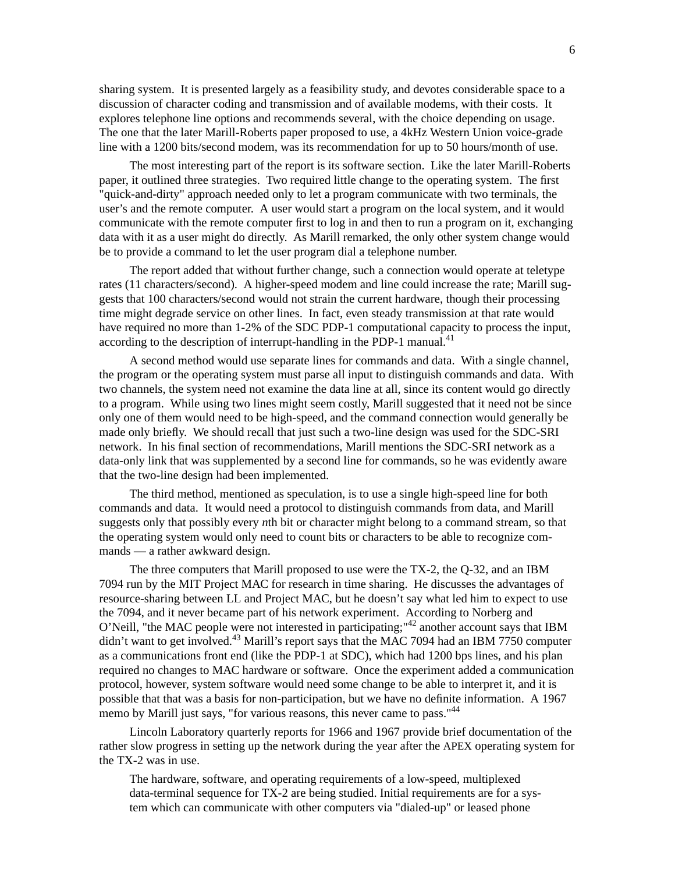sharing system. It is presented largely as a feasibility study, and devotes considerable space to a discussion of character coding and transmission and of available modems, with their costs. It explores telephone line options and recommends several, with the choice depending on usage. The one that the later Marill-Roberts paper proposed to use, a 4kHz Western Union voice-grade line with a 1200 bits/second modem, was its recommendation for up to 50 hours/month of use.

The most interesting part of the report is its software section. Like the later Marill-Roberts paper, it outlined three strategies. Two required little change to the operating system. The first "quick-and-dirty" approach needed only to let a program communicate with two terminals, the user's and the remote computer. A user would start a program on the local system, and it would communicate with the remote computer first to log in and then to run a program on it, exchanging data with it as a user might do directly. As Marill remarked, the only other system change would be to provide a command to let the user program dial a telephone number.

The report added that without further change, such a connection would operate at teletype rates (11 characters/second). A higher-speed modem and line could increase the rate; Marill suggests that 100 characters/second would not strain the current hardware, though their processing time might degrade service on other lines. In fact, even steady transmission at that rate would have required no more than 1-2% of the SDC PDP-1 computational capacity to process the input, according to the description of interrupt-handling in the PDP-1 manual.<sup>41</sup>

A second method would use separate lines for commands and data. With a single channel, the program or the operating system must parse all input to distinguish commands and data. With two channels, the system need not examine the data line at all, since its content would go directly to a program. While using two lines might seem costly, Marill suggested that it need not be since only one of them would need to be high-speed, and the command connection would generally be made only briefly. We should recall that just such a two-line design was used for the SDC-SRI network. In his final section of recommendations, Marill mentions the SDC-SRI network as a data-only link that was supplemented by a second line for commands, so he was evidently aware that the two-line design had been implemented.

The third method, mentioned as speculation, is to use a single high-speed line for both commands and data. It would need a protocol to distinguish commands from data, and Marill suggests only that possibly every *n*th bit or character might belong to a command stream, so that the operating system would only need to count bits or characters to be able to recognize commands — a rather awkward design.

The three computers that Marill proposed to use were the TX-2, the Q-32, and an IBM 7094 run by the MIT Project MAC for research in time sharing. He discusses the advantages of resource-sharing between LL and Project MAC, but he doesn't say what led him to expect to use the 7094, and it never became part of his network experiment. According to Norberg and O'Neill, "the MAC people were not interested in participating;"<sup>42</sup> another account says that IBM didn't want to get involved.<sup>43</sup> Marill's report says that the MAC 7094 had an IBM 7750 computer as a communications front end (like the PDP-1 at SDC), which had 1200 bps lines, and his plan required no changes to MAC hardware or software. Once the experiment added a communication protocol, however, system software would need some change to be able to interpret it, and it is possible that that was a basis for non-participation, but we have no definite information. A 1967 memo by Marill just says, "for various reasons, this never came to pass."<sup>44</sup>

Lincoln Laboratory quarterly reports for 1966 and 1967 provide brief documentation of the rather slow progress in setting up the network during the year after the APEX operating system for the TX-2 was in use.

The hardware, software, and operating requirements of a low-speed, multiplexed data-terminal sequence for TX-2 are being studied. Initial requirements are for a system which can communicate with other computers via "dialed-up" or leased phone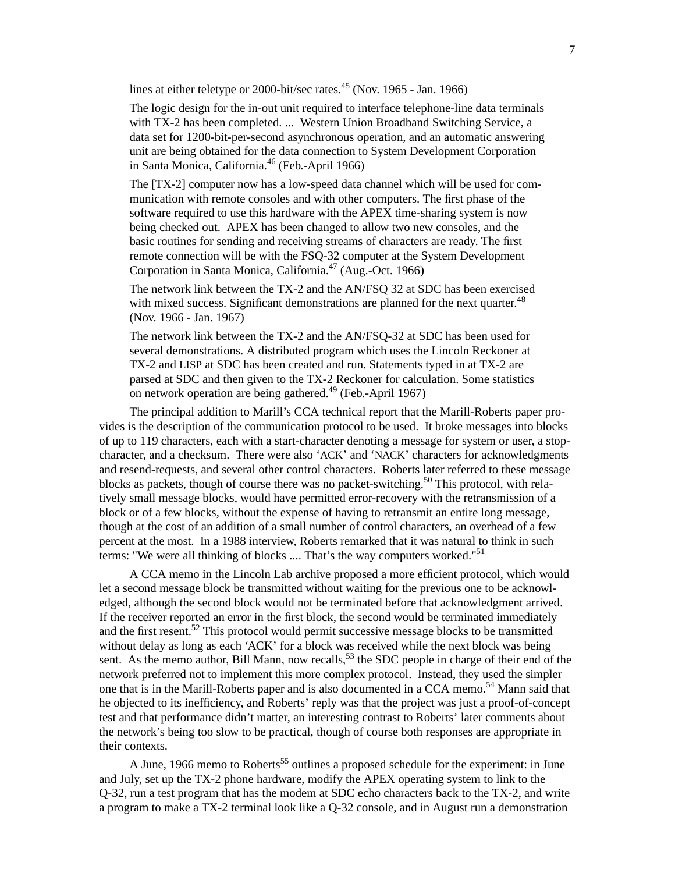lines at either teletype or 2000-bit/sec rates. $45$  (Nov. 1965 - Jan. 1966)

The logic design for the in-out unit required to interface telephone-line data terminals with TX-2 has been completed. ... Western Union Broadband Switching Service, a data set for 1200-bit-per-second asynchronous operation, and an automatic answering unit are being obtained for the data connection to System Development Corporation in Santa Monica, California.<sup>46</sup> (Feb.-April 1966)

The [TX-2] computer now has a low-speed data channel which will be used for communication with remote consoles and with other computers. The first phase of the software required to use this hardware with the APEX time-sharing system is now being checked out. APEX has been changed to allow two new consoles, and the basic routines for sending and receiving streams of characters are ready. The first remote connection will be with the FSQ-32 computer at the System Development Corporation in Santa Monica, California.<sup>47</sup> (Aug.-Oct. 1966)

The network link between the TX-2 and the AN/FSQ 32 at SDC has been exercised with mixed success. Significant demonstrations are planned for the next quarter.<sup>48</sup> (Nov. 1966 - Jan. 1967)

The network link between the TX-2 and the AN/FSQ-32 at SDC has been used for several demonstrations. A distributed program which uses the Lincoln Reckoner at TX-2 and LISP at SDC has been created and run. Statements typed in at TX-2 are parsed at SDC and then given to the TX-2 Reckoner for calculation. Some statistics on network operation are being gathered.<sup>49</sup> (Feb.-April 1967)

The principal addition to Marill's CCA technical report that the Marill-Roberts paper provides is the description of the communication protocol to be used. It broke messages into blocks of up to 119 characters, each with a start-character denoting a message for system or user, a stopcharacter, and a checksum. There were also 'ACK' and 'NACK' characters for acknowledgments and resend-requests, and several other control characters. Roberts later referred to these message blocks as packets, though of course there was no packet-switching.<sup>50</sup> This protocol, with relatively small message blocks, would have permitted error-recovery with the retransmission of a block or of a few blocks, without the expense of having to retransmit an entire long message, though at the cost of an addition of a small number of control characters, an overhead of a few percent at the most. In a 1988 interview, Roberts remarked that it was natural to think in such terms: "We were all thinking of blocks .... That's the way computers worked."<sup>51</sup>

A CCA memo in the Lincoln Lab archive proposed a more efficient protocol, which would let a second message block be transmitted without waiting for the previous one to be acknowledged, although the second block would not be terminated before that acknowledgment arrived. If the receiver reported an error in the first block, the second would be terminated immediately and the first resent.<sup>52</sup> This protocol would permit successive message blocks to be transmitted without delay as long as each 'ACK' for a block was received while the next block was being sent. As the memo author, Bill Mann, now recalls,  $5<sup>3</sup>$  the SDC people in charge of their end of the network preferred not to implement this more complex protocol. Instead, they used the simpler one that is in the Marill-Roberts paper and is also documented in a CCA memo.<sup>54</sup> Mann said that he objected to its inefficiency, and Roberts' reply was that the project was just a proof-of-concept test and that performance didn't matter, an interesting contrast to Roberts' later comments about the network's being too slow to be practical, though of course both responses are appropriate in their contexts.

A June, 1966 memo to Roberts<sup>55</sup> outlines a proposed schedule for the experiment: in June and July, set up the TX-2 phone hardware, modify the APEX operating system to link to the Q-32, run a test program that has the modem at SDC echo characters back to the TX-2, and write a program to make a TX-2 terminal look like a Q-32 console, and in August run a demonstration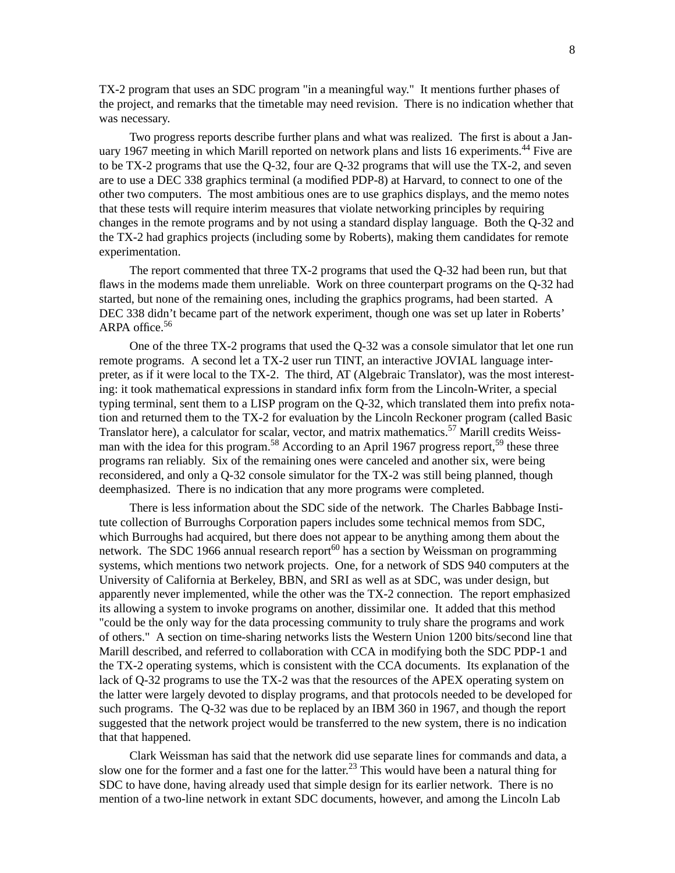TX-2 program that uses an SDC program "in a meaningful way." It mentions further phases of the project, and remarks that the timetable may need revision. There is no indication whether that was necessary.

Two progress reports describe further plans and what was realized. The first is about a January 1967 meeting in which Marill reported on network plans and lists 16 experiments.<sup>44</sup> Five are to be TX-2 programs that use the Q-32, four are Q-32 programs that will use the TX-2, and seven are to use a DEC 338 graphics terminal (a modified PDP-8) at Harvard, to connect to one of the other two computers. The most ambitious ones are to use graphics displays, and the memo notes that these tests will require interim measures that violate networking principles by requiring changes in the remote programs and by not using a standard display language. Both the Q-32 and the TX-2 had graphics projects (including some by Roberts), making them candidates for remote experimentation.

The report commented that three TX-2 programs that used the Q-32 had been run, but that flaws in the modems made them unreliable. Work on three counterpart programs on the Q-32 had started, but none of the remaining ones, including the graphics programs, had been started. A DEC 338 didn't became part of the network experiment, though one was set up later in Roberts' ARPA office.<sup>56</sup>

One of the three TX-2 programs that used the Q-32 was a console simulator that let one run remote programs. A second let a TX-2 user run TINT, an interactive JOVIAL language interpreter, as if it were local to the TX-2. The third, AT (Algebraic Translator), was the most interesting: it took mathematical expressions in standard infix form from the Lincoln-Writer, a special typing terminal, sent them to a LISP program on the Q-32, which translated them into prefix notation and returned them to the TX-2 for evaluation by the Lincoln Reckoner program (called Basic Translator here), a calculator for scalar, vector, and matrix mathematics.<sup>57</sup> Marill credits Weissman with the idea for this program.<sup>58</sup> According to an April 1967 progress report,<sup>59</sup> these three programs ran reliably. Six of the remaining ones were canceled and another six, were being reconsidered, and only a Q-32 console simulator for the TX-2 was still being planned, though deemphasized. There is no indication that any more programs were completed.

There is less information about the SDC side of the network. The Charles Babbage Institute collection of Burroughs Corporation papers includes some technical memos from SDC, which Burroughs had acquired, but there does not appear to be anything among them about the network. The SDC 1966 annual research report<sup>60</sup> has a section by Weissman on programming systems, which mentions two network projects. One, for a network of SDS 940 computers at the University of California at Berkeley, BBN, and SRI as well as at SDC, was under design, but apparently never implemented, while the other was the TX-2 connection. The report emphasized its allowing a system to invoke programs on another, dissimilar one. It added that this method "could be the only way for the data processing community to truly share the programs and work of others." A section on time-sharing networks lists the Western Union 1200 bits/second line that Marill described, and referred to collaboration with CCA in modifying both the SDC PDP-1 and the TX-2 operating systems, which is consistent with the CCA documents. Its explanation of the lack of Q-32 programs to use the TX-2 was that the resources of the APEX operating system on the latter were largely devoted to display programs, and that protocols needed to be developed for such programs. The Q-32 was due to be replaced by an IBM 360 in 1967, and though the report suggested that the network project would be transferred to the new system, there is no indication that that happened.

Clark Weissman has said that the network did use separate lines for commands and data, a slow one for the former and a fast one for the latter.<sup>23</sup> This would have been a natural thing for SDC to have done, having already used that simple design for its earlier network. There is no mention of a two-line network in extant SDC documents, however, and among the Lincoln Lab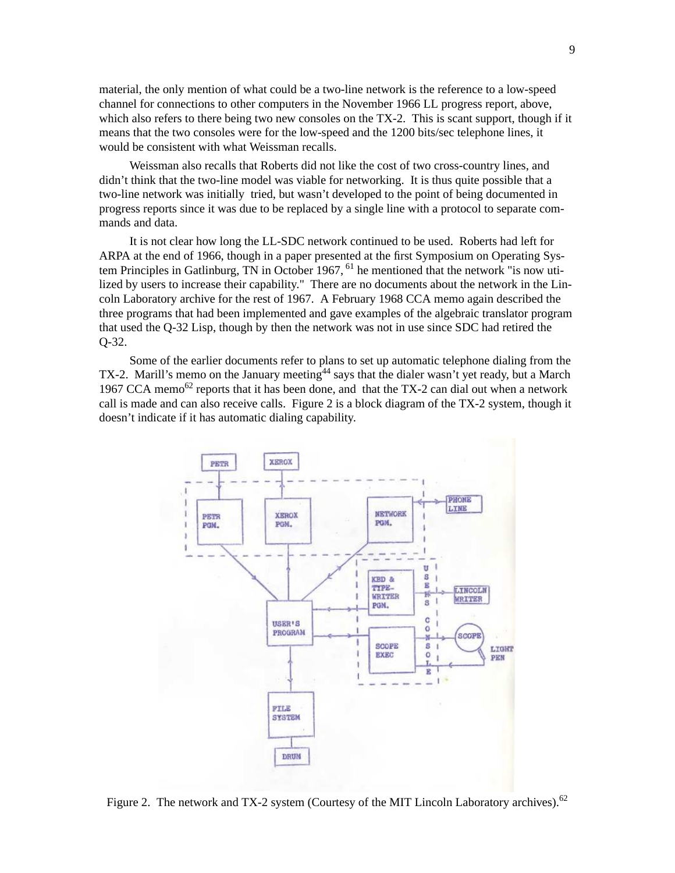material, the only mention of what could be a two-line network is the reference to a low-speed channel for connections to other computers in the November 1966 LL progress report, above, which also refers to there being two new consoles on the TX-2. This is scant support, though if it means that the two consoles were for the low-speed and the 1200 bits/sec telephone lines, it would be consistent with what Weissman recalls.

Weissman also recalls that Roberts did not like the cost of two cross-country lines, and didn't think that the two-line model was viable for networking. It is thus quite possible that a two-line network was initially tried, but wasn't developed to the point of being documented in progress reports since it was due to be replaced by a single line with a protocol to separate commands and data.

It is not clear how long the LL-SDC network continued to be used. Roberts had left for ARPA at the end of 1966, though in a paper presented at the first Symposium on Operating System Principles in Gatlinburg, TN in October 1967, <sup>61</sup> he mentioned that the network "is now utilized by users to increase their capability." There are no documents about the network in the Lincoln Laboratory archive for the rest of 1967. A February 1968 CCA memo again described the three programs that had been implemented and gave examples of the algebraic translator program that used the Q-32 Lisp, though by then the network was not in use since SDC had retired the Q-32.

Some of the earlier documents refer to plans to set up automatic telephone dialing from the TX-2. Marill's memo on the January meeting<sup>44</sup> says that the dialer wasn't yet ready, but a March 1967 CCA memo<sup>62</sup> reports that it has been done, and that the TX-2 can dial out when a network call is made and can also receive calls. Figure 2 is a block diagram of the TX-2 system, though it doesn't indicate if it has automatic dialing capability.



Figure 2. The network and TX-2 system (Courtesy of the MIT Lincoln Laboratory archives).<sup>62</sup>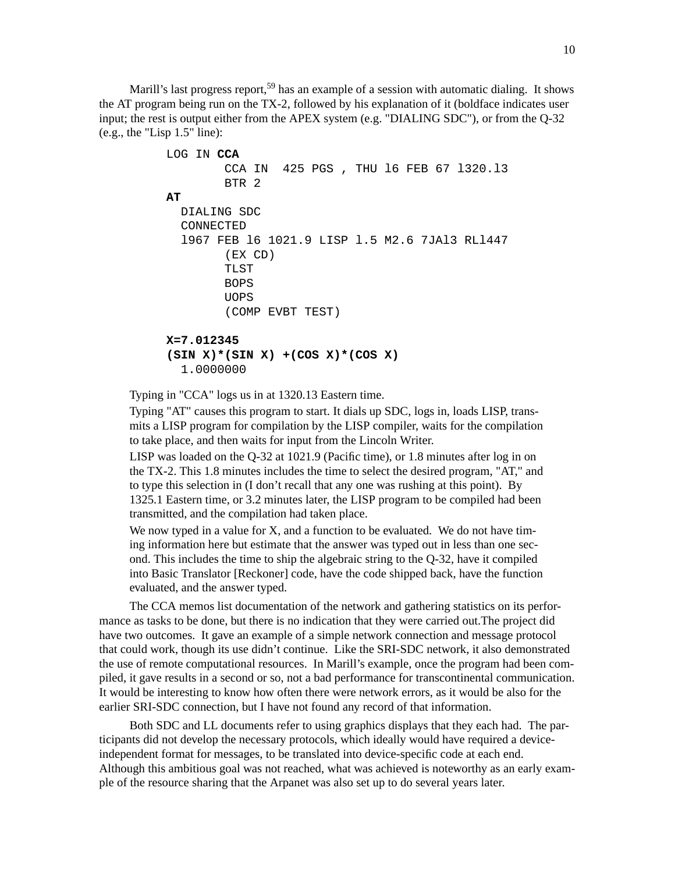Marill's last progress report,<sup>59</sup> has an example of a session with automatic dialing. It shows the AT program being run on the TX-2, followed by his explanation of it (boldface indicates user input; the rest is output either from the APEX system (e.g. "DIALING SDC"), or from the Q-32 (e.g., the "Lisp 1.5" line):

```
LOG IN CCA
        CCA IN 425 PGS , THU l6 FEB 67 l320.l3
        BTR 2
AT
  DIALING SDC
  CONNECTED
  l967 FEB l6 1021.9 LISP l.5 M2.6 7JAl3 RLl447
        (EX CD)
        TLST
        BOPS
        UOPS
        (COMP EVBT TEST)
X=7.012345
(SIN X)*(SIN X) +(COS X)*(COS X)
  1.0000000
```
Typing in "CCA" logs us in at 1320.13 Eastern time.

Typing "AT" causes this program to start. It dials up SDC, logs in, loads LISP, transmits a LISP program for compilation by the LISP compiler, waits for the compilation to take place, and then waits for input from the Lincoln Writer.

LISP was loaded on the Q-32 at 1021.9 (Pacific time), or 1.8 minutes after log in on the TX-2. This 1.8 minutes includes the time to select the desired program, "AT," and to type this selection in (I don't recall that any one was rushing at this point). By 1325.1 Eastern time, or 3.2 minutes later, the LISP program to be compiled had been transmitted, and the compilation had taken place.

We now typed in a value for X, and a function to be evaluated. We do not have timing information here but estimate that the answer was typed out in less than one second. This includes the time to ship the algebraic string to the Q-32, have it compiled into Basic Translator [Reckoner] code, have the code shipped back, have the function evaluated, and the answer typed.

The CCA memos list documentation of the network and gathering statistics on its performance as tasks to be done, but there is no indication that they were carried out.The project did have two outcomes. It gave an example of a simple network connection and message protocol that could work, though its use didn't continue. Like the SRI-SDC network, it also demonstrated the use of remote computational resources. In Marill's example, once the program had been compiled, it gave results in a second or so, not a bad performance for transcontinental communication. It would be interesting to know how often there were network errors, as it would be also for the earlier SRI-SDC connection, but I have not found any record of that information.

Both SDC and LL documents refer to using graphics displays that they each had. The participants did not develop the necessary protocols, which ideally would have required a deviceindependent format for messages, to be translated into device-specific code at each end. Although this ambitious goal was not reached, what was achieved is noteworthy as an early example of the resource sharing that the Arpanet was also set up to do several years later.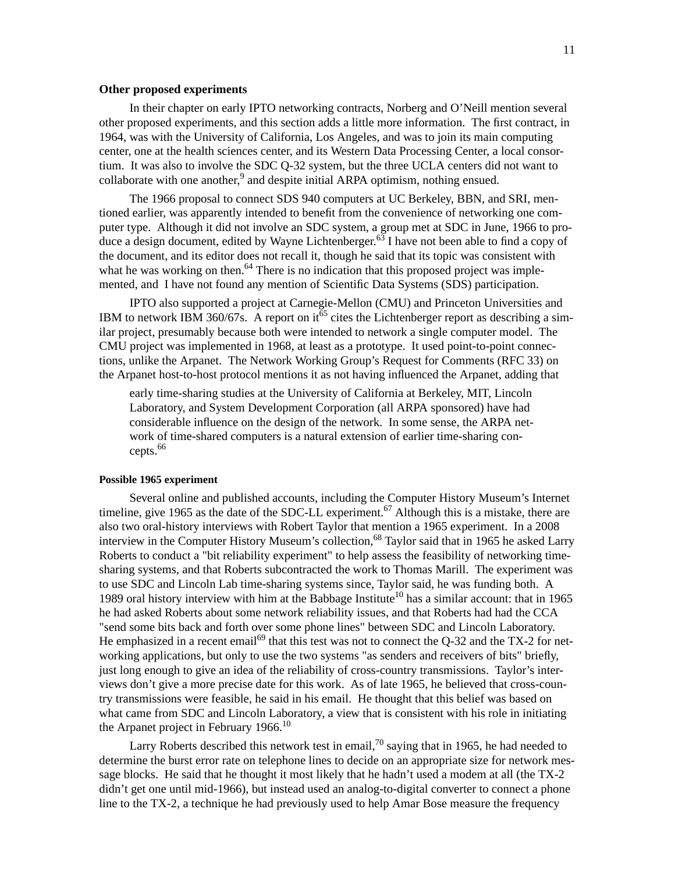#### **Other proposed experiments**

In their chapter on early IPTO networking contracts, Norberg and O'Neill mention several other proposed experiments, and this section adds a little more information. The first contract, in 1964, was with the University of California, Los Angeles, and was to join its main computing center, one at the health sciences center, and its Western Data Processing Center, a local consortium. It was also to involve the SDC Q-32 system, but the three UCLA centers did not want to collaborate with one another,<sup>9</sup> and despite initial ARPA optimism, nothing ensued.

The 1966 proposal to connect SDS 940 computers at UC Berkeley, BBN, and SRI, mentioned earlier, was apparently intended to benefit from the convenience of networking one computer type. Although it did not involve an SDC system, a group met at SDC in June, 1966 to produce a design document, edited by Wayne Lichtenberger.<sup>63</sup> I have not been able to find a copy of the document, and its editor does not recall it, though he said that its topic was consistent with what he was working on then. $64$  There is no indication that this proposed project was implemented, and I have not found any mention of Scientific Data Systems (SDS) participation.

IPTO also supported a project at Carnegie-Mellon (CMU) and Princeton Universities and IBM to network IBM 360/67s. A report on it<sup>65</sup> cites the Lichtenberger report as describing a similar project, presumably because both were intended to network a single computer model. The CMU project was implemented in 1968, at least as a prototype. It used point-to-point connections, unlike the Arpanet. The Network Working Group's Request for Comments (RFC 33) on the Arpanet host-to-host protocol mentions it as not having influenced the Arpanet, adding that

early time-sharing studies at the University of California at Berkeley, MIT, Lincoln Laboratory, and System Development Corporation (all ARPA sponsored) have had considerable influence on the design of the network. In some sense, the ARPA network of time-shared computers is a natural extension of earlier time-sharing concepts.<sup>66</sup>

#### **Possible 1965 experiment**

Several online and published accounts, including the Computer History Museum's Internet timeline, give 1965 as the date of the SDC-LL experiment.<sup>67</sup> Although this is a mistake, there are also two oral-history interviews with Robert Taylor that mention a 1965 experiment. In a 2008 interview in the Computer History Museum's collection,<sup>68</sup> Taylor said that in 1965 he asked Larry Roberts to conduct a "bit reliability experiment" to help assess the feasibility of networking timesharing systems, and that Roberts subcontracted the work to Thomas Marill. The experiment was to use SDC and Lincoln Lab time-sharing systems since, Taylor said, he was funding both. A 1989 oral history interview with him at the Babbage Institute<sup>10</sup> has a similar account: that in 1965 he had asked Roberts about some network reliability issues, and that Roberts had had the CCA "send some bits back and forth over some phone lines" between SDC and Lincoln Laboratory. He emphasized in a recent email<sup>69</sup> that this test was not to connect the Q-32 and the TX-2 for networking applications, but only to use the two systems "as senders and receivers of bits" briefly, just long enough to give an idea of the reliability of cross-country transmissions. Taylor's interviews don't give a more precise date for this work. As of late 1965, he believed that cross-country transmissions were feasible, he said in his email. He thought that this belief was based on what came from SDC and Lincoln Laboratory, a view that is consistent with his role in initiating the Arpanet project in February 1966.<sup>10</sup>

Larry Roberts described this network test in email,<sup>70</sup> saying that in 1965, he had needed to determine the burst error rate on telephone lines to decide on an appropriate size for network message blocks. He said that he thought it most likely that he hadn't used a modem at all (the TX-2 didn't get one until mid-1966), but instead used an analog-to-digital converter to connect a phone line to the TX-2, a technique he had previously used to help Amar Bose measure the frequency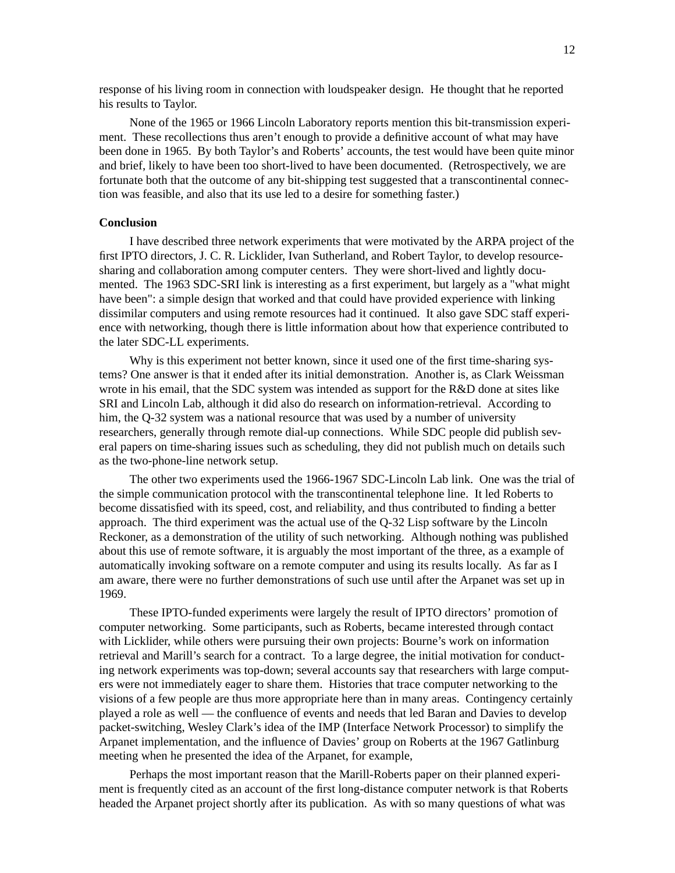response of his living room in connection with loudspeaker design. He thought that he reported his results to Taylor.

None of the 1965 or 1966 Lincoln Laboratory reports mention this bit-transmission experiment. These recollections thus aren't enough to provide a definitive account of what may have been done in 1965. By both Taylor's and Roberts' accounts, the test would have been quite minor and brief, likely to have been too short-lived to have been documented. (Retrospectively, we are fortunate both that the outcome of any bit-shipping test suggested that a transcontinental connection was feasible, and also that its use led to a desire for something faster.)

#### **Conclusion**

I have described three network experiments that were motivated by the ARPA project of the first IPTO directors, J. C. R. Licklider, Ivan Sutherland, and Robert Taylor, to develop resourcesharing and collaboration among computer centers. They were short-lived and lightly documented. The 1963 SDC-SRI link is interesting as a first experiment, but largely as a "what might have been": a simple design that worked and that could have provided experience with linking dissimilar computers and using remote resources had it continued. It also gave SDC staff experience with networking, though there is little information about how that experience contributed to the later SDC-LL experiments.

Why is this experiment not better known, since it used one of the first time-sharing systems? One answer is that it ended after its initial demonstration. Another is, as Clark Weissman wrote in his email, that the SDC system was intended as support for the R&D done at sites like SRI and Lincoln Lab, although it did also do research on information-retrieval. According to him, the Q-32 system was a national resource that was used by a number of university researchers, generally through remote dial-up connections. While SDC people did publish several papers on time-sharing issues such as scheduling, they did not publish much on details such as the two-phone-line network setup.

The other two experiments used the 1966-1967 SDC-Lincoln Lab link. One was the trial of the simple communication protocol with the transcontinental telephone line. It led Roberts to become dissatisfied with its speed, cost, and reliability, and thus contributed to finding a better approach. The third experiment was the actual use of the Q-32 Lisp software by the Lincoln Reckoner, as a demonstration of the utility of such networking. Although nothing was published about this use of remote software, it is arguably the most important of the three, as a example of automatically invoking software on a remote computer and using its results locally. As far as I am aware, there were no further demonstrations of such use until after the Arpanet was set up in 1969.

These IPTO-funded experiments were largely the result of IPTO directors' promotion of computer networking. Some participants, such as Roberts, became interested through contact with Licklider, while others were pursuing their own projects: Bourne's work on information retrieval and Marill's search for a contract. To a large degree, the initial motivation for conducting network experiments was top-down; several accounts say that researchers with large computers were not immediately eager to share them. Histories that trace computer networking to the visions of a few people are thus more appropriate here than in many areas. Contingency certainly played a role as well — the confluence of events and needs that led Baran and Davies to develop packet-switching, Wesley Clark's idea of the IMP (Interface Network Processor) to simplify the Arpanet implementation, and the influence of Davies' group on Roberts at the 1967 Gatlinburg meeting when he presented the idea of the Arpanet, for example,

Perhaps the most important reason that the Marill-Roberts paper on their planned experiment is frequently cited as an account of the first long-distance computer network is that Roberts headed the Arpanet project shortly after its publication. As with so many questions of what was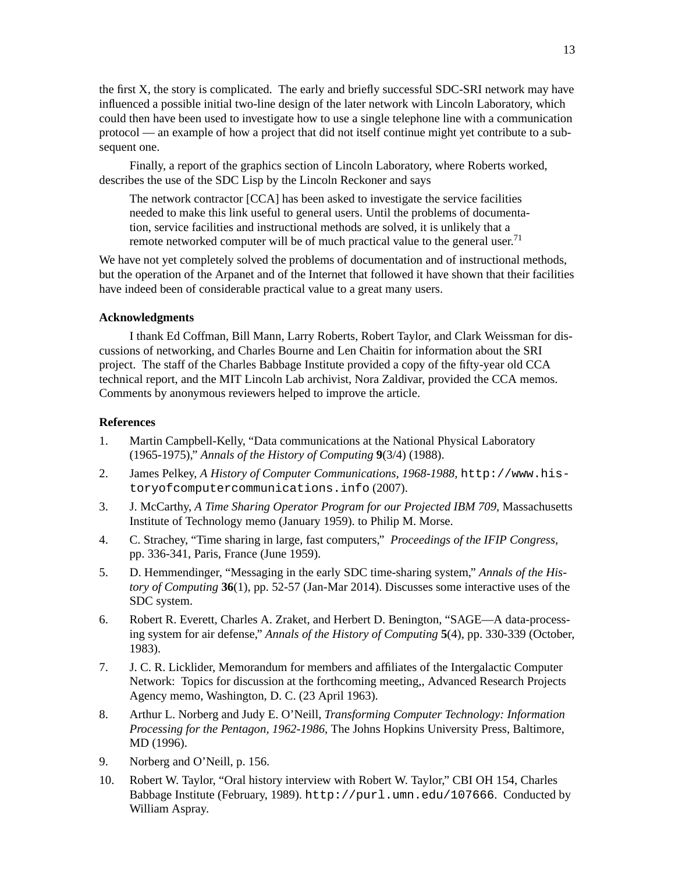the first X, the story is complicated. The early and briefly successful SDC-SRI network may have influenced a possible initial two-line design of the later network with Lincoln Laboratory, which could then have been used to investigate how to use a single telephone line with a communication protocol — an example of how a project that did not itself continue might yet contribute to a subsequent one.

Finally, a report of the graphics section of Lincoln Laboratory, where Roberts worked, describes the use of the SDC Lisp by the Lincoln Reckoner and says

The network contractor [CCA] has been asked to investigate the service facilities needed to make this link useful to general users. Until the problems of documentation, service facilities and instructional methods are solved, it is unlikely that a remote networked computer will be of much practical value to the general user.<sup>71</sup>

We have not yet completely solved the problems of documentation and of instructional methods, but the operation of the Arpanet and of the Internet that followed it have shown that their facilities have indeed been of considerable practical value to a great many users.

### **Acknowledgments**

I thank Ed Coffman, Bill Mann, Larry Roberts, Robert Taylor, and Clark Weissman for discussions of networking, and Charles Bourne and Len Chaitin for information about the SRI project. The staff of the Charles Babbage Institute provided a copy of the fifty-year old CCA technical report, and the MIT Lincoln Lab archivist, Nora Zaldivar, provided the CCA memos. Comments by anonymous reviewers helped to improve the article.

#### **References**

- 1. Martin Campbell-Kelly, "Data communications at the National Physical Laboratory (1965-1975)," *Annals of the History of Computing* **9**(3/4) (1988).
- 2. James Pelkey, *A History of Computer Communications, 1968-1988,* http://www.historyofcomputercommunications.info (2007).
- 3. J. McCarthy, *A Time Sharing Operator Program for our Projected IBM 709,* Massachusetts Institute of Technology memo (January 1959). to Philip M. Morse.
- 4. C. Strachey, "Time sharing in large, fast computers," *Proceedings of the IFIP Congress,* pp. 336-341, Paris, France (June 1959).
- 5. D. Hemmendinger, "Messaging in the early SDC time-sharing system," *Annals of the History of Computing* **36**(1), pp. 52-57 (Jan-Mar 2014). Discusses some interactive uses of the SDC system.
- 6. Robert R. Everett, Charles A. Zraket, and Herbert D. Benington, "SAGE—A data-processing system for air defense," *Annals of the History of Computing* **5**(4), pp. 330-339 (October, 1983).
- 7. J. C. R. Licklider, Memorandum for members and affiliates of the Intergalactic Computer Network: Topics for discussion at the forthcoming meeting,, Advanced Research Projects Agency memo, Washington, D. C. (23 April 1963).
- 8. Arthur L. Norberg and Judy E. O'Neill, *Transforming Computer Technology: Information Processing for the Pentagon, 1962-1986,* The Johns Hopkins University Press, Baltimore, MD (1996).
- 9. Norberg and O'Neill, p. 156.
- 10. Robert W. Taylor, "Oral history interview with Robert W. Taylor," CBI OH 154, Charles Babbage Institute (February, 1989). http://purl.umn.edu/107666. Conducted by William Aspray.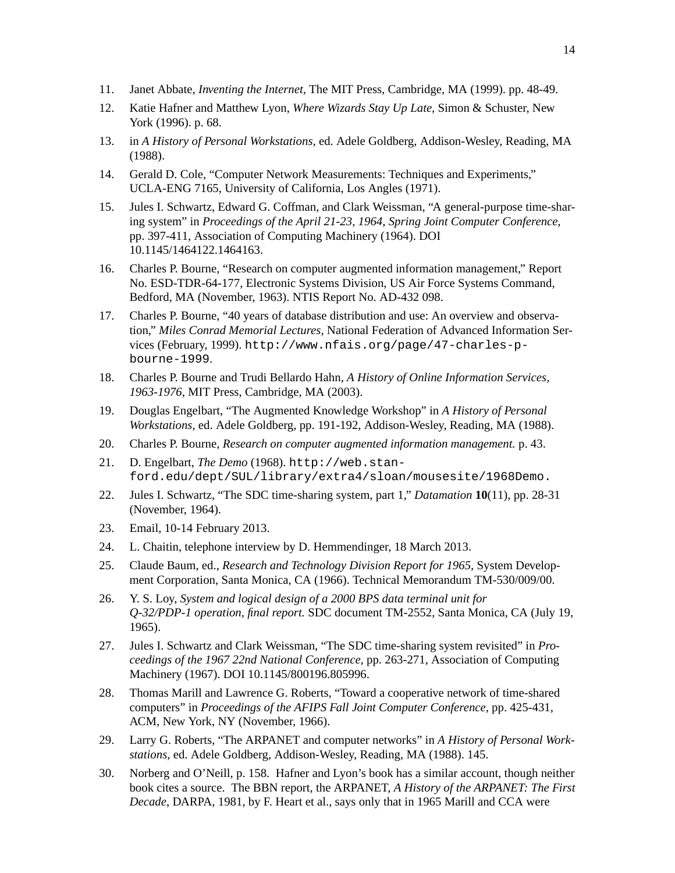- 11. Janet Abbate, *Inventing the Internet,* The MIT Press, Cambridge, MA (1999). pp. 48-49.
- 12. Katie Hafner and Matthew Lyon, *Where Wizards Stay Up Late,* Simon & Schuster, New York (1996). p. 68.
- 13. in *A History of Personal Workstations,* ed. Adele Goldberg, Addison-Wesley, Reading, MA (1988).
- 14. Gerald D. Cole, "Computer Network Measurements: Techniques and Experiments," UCLA-ENG 7165, University of California, Los Angles (1971).
- 15. Jules I. Schwartz, Edward G. Coffman, and Clark Weissman, "A general-purpose time-sharing system" in *Proceedings of the April 21-23, 1964, Spring Joint Computer Conference,* pp. 397-411, Association of Computing Machinery (1964). DOI 10.1145/1464122.1464163.
- 16. Charles P. Bourne, "Research on computer augmented information management," Report No. ESD-TDR-64-177, Electronic Systems Division, US Air Force Systems Command, Bedford, MA (November, 1963). NTIS Report No. AD-432 098.
- 17. Charles P. Bourne, "40 years of database distribution and use: An overview and observation," *Miles Conrad Memorial Lectures,* National Federation of Advanced Information Services (February, 1999). http://www.nfais.org/page/47-charles-pbourne-1999.
- 18. Charles P. Bourne and Trudi Bellardo Hahn, *A History of Online Information Services, 1963-1976,* MIT Press, Cambridge, MA (2003).
- 19. Douglas Engelbart, "The Augmented Knowledge Workshop" in *A History of Personal Workstations,* ed. Adele Goldberg, pp. 191-192, Addison-Wesley, Reading, MA (1988).
- 20. Charles P. Bourne, *Research on computer augmented information management.* p. 43.
- 21. D. Engelbart, *The Demo* (1968). http://web.stanford.edu/dept/SUL/library/extra4/sloan/mousesite/1968Demo.
- 22. Jules I. Schwartz, "The SDC time-sharing system, part 1," *Datamation* **10**(11), pp. 28-31 (November, 1964).
- 23. Email, 10-14 February 2013.
- 24. L. Chaitin, telephone interview by D. Hemmendinger, 18 March 2013.
- 25. Claude Baum, ed., *Research and Technology Division Report for 1965,* System Development Corporation, Santa Monica, CA (1966). Technical Memorandum TM-530/009/00.
- 26. Y. S. Loy, *System and logical design of a 2000 BPS data terminal unit for Q-32/PDP-1 operation, final report.* SDC document TM-2552, Santa Monica, CA (July 19, 1965).
- 27. Jules I. Schwartz and Clark Weissman, "The SDC time-sharing system revisited" in *Proceedings of the 1967 22nd National Conference,* pp. 263-271, Association of Computing Machinery (1967). DOI 10.1145/800196.805996.
- 28. Thomas Marill and Lawrence G. Roberts, "Toward a cooperative network of time-shared computers" in *Proceedings of the AFIPS Fall Joint Computer Conference,* pp. 425-431, ACM, New York, NY (November, 1966).
- 29. Larry G. Roberts, "The ARPANET and computer networks" in *A History of Personal Workstations,* ed. Adele Goldberg, Addison-Wesley, Reading, MA (1988). 145.
- 30. Norberg and O'Neill, p. 158. Hafner and Lyon's book has a similar account, though neither book cites a source. The BBN report, the ARPANET, *A History of the ARPANET: The First Decade*, DARPA, 1981, by F. Heart et al., says only that in 1965 Marill and CCA were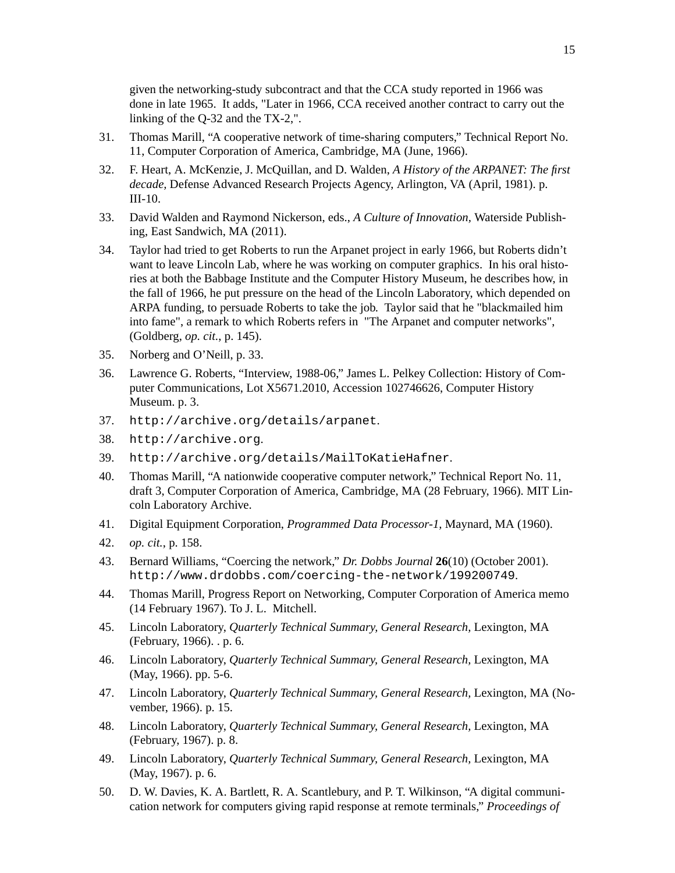given the networking-study subcontract and that the CCA study reported in 1966 was done in late 1965. It adds, "Later in 1966, CCA received another contract to carry out the linking of the Q-32 and the TX-2,".

- 31. Thomas Marill, "A cooperative network of time-sharing computers," Technical Report No. 11, Computer Corporation of America, Cambridge, MA (June, 1966).
- 32. F. Heart, A. McKenzie, J. McQuillan, and D. Walden, *A History of the ARPANET: The first decade,* Defense Advanced Research Projects Agency, Arlington, VA (April, 1981). p. III-10.
- 33. David Walden and Raymond Nickerson, eds., *A Culture of Innovation,* Waterside Publishing, East Sandwich, MA (2011).
- 34. Taylor had tried to get Roberts to run the Arpanet project in early 1966, but Roberts didn't want to leave Lincoln Lab, where he was working on computer graphics. In his oral histories at both the Babbage Institute and the Computer History Museum, he describes how, in the fall of 1966, he put pressure on the head of the Lincoln Laboratory, which depended on ARPA funding, to persuade Roberts to take the job. Taylor said that he "blackmailed him into fame", a remark to which Roberts refers in "The Arpanet and computer networks", (Goldberg, *op. cit.*, p. 145).
- 35. Norberg and O'Neill, p. 33.
- 36. Lawrence G. Roberts, "Interview, 1988-06," James L. Pelkey Collection: History of Computer Communications, Lot X5671.2010, Accession 102746626, Computer History Museum. p. 3.
- 37. http://archive.org/details/arpanet.
- 38. http://archive.org.
- 39. http://archive.org/details/MailToKatieHafner.
- 40. Thomas Marill, "A nationwide cooperative computer network," Technical Report No. 11, draft 3, Computer Corporation of America, Cambridge, MA (28 February, 1966). MIT Lincoln Laboratory Archive.
- 41. Digital Equipment Corporation, *Programmed Data Processor-1,* Maynard, MA (1960).
- 42. *op. cit.*, p. 158.
- 43. Bernard Williams, "Coercing the network," *Dr. Dobbs Journal* **26**(10) (October 2001). http://www.drdobbs.com/coercing-the-network/199200749.
- 44. Thomas Marill, Progress Report on Networking, Computer Corporation of America memo (14 February 1967). To J. L. Mitchell.
- 45. Lincoln Laboratory, *Quarterly Technical Summary, General Research,* Lexington, MA (February, 1966). . p. 6.
- 46. Lincoln Laboratory, *Quarterly Technical Summary, General Research,* Lexington, MA (May, 1966). pp. 5-6.
- 47. Lincoln Laboratory, *Quarterly Technical Summary, General Research,* Lexington, MA (November, 1966). p. 15.
- 48. Lincoln Laboratory, *Quarterly Technical Summary, General Research,* Lexington, MA (February, 1967). p. 8.
- 49. Lincoln Laboratory, *Quarterly Technical Summary, General Research,* Lexington, MA (May, 1967). p. 6.
- 50. D. W. Davies, K. A. Bartlett, R. A. Scantlebury, and P. T. Wilkinson, "A digital communication network for computers giving rapid response at remote terminals," *Proceedings of*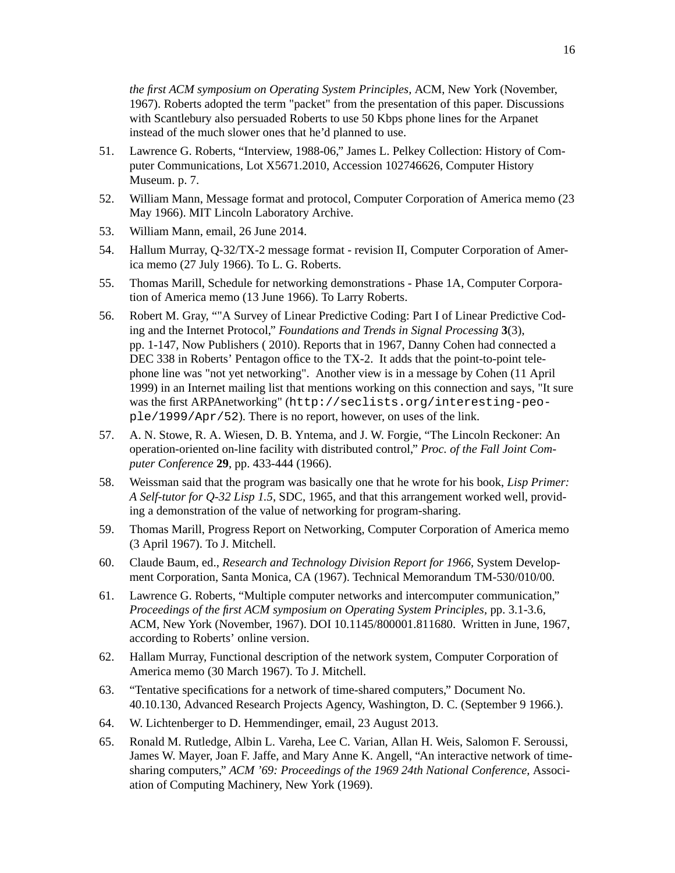*the first ACM symposium on Operating System Principles,* ACM, New York (November, 1967). Roberts adopted the term "packet" from the presentation of this paper. Discussions with Scantlebury also persuaded Roberts to use 50 Kbps phone lines for the Arpanet instead of the much slower ones that he'd planned to use.

- 51. Lawrence G. Roberts, "Interview, 1988-06," James L. Pelkey Collection: History of Computer Communications, Lot X5671.2010, Accession 102746626, Computer History Museum. p. 7.
- 52. William Mann, Message format and protocol, Computer Corporation of America memo (23 May 1966). MIT Lincoln Laboratory Archive.
- 53. William Mann, email, 26 June 2014.
- 54. Hallum Murray, Q-32/TX-2 message format revision II, Computer Corporation of America memo (27 July 1966). To L. G. Roberts.
- 55. Thomas Marill, Schedule for networking demonstrations Phase 1A, Computer Corporation of America memo (13 June 1966). To Larry Roberts.
- 56. Robert M. Gray, ""A Survey of Linear Predictive Coding: Part I of Linear Predictive Coding and the Internet Protocol," *Foundations and Trends in Signal Processing* **3**(3), pp. 1-147, Now Publishers ( 2010). Reports that in 1967, Danny Cohen had connected a DEC 338 in Roberts' Pentagon office to the TX-2. It adds that the point-to-point telephone line was "not yet networking". Another view is in a message by Cohen (11 April 1999) in an Internet mailing list that mentions working on this connection and says, "It sure was the first ARPAnetworking" (http://seclists.org/interesting-people/1999/Apr/52). There is no report, however, on uses of the link.
- 57. A. N. Stowe, R. A. Wiesen, D. B. Yntema, and J. W. Forgie, "The Lincoln Reckoner: An operation-oriented on-line facility with distributed control," *Proc. of the Fall Joint Computer Conference* **29**, pp. 433-444 (1966).
- 58. Weissman said that the program was basically one that he wrote for his book, *Lisp Primer: A Self-tutor for Q-32 Lisp 1.5*, SDC, 1965, and that this arrangement worked well, providing a demonstration of the value of networking for program-sharing.
- 59. Thomas Marill, Progress Report on Networking, Computer Corporation of America memo (3 April 1967). To J. Mitchell.
- 60. Claude Baum, ed., *Research and Technology Division Report for 1966,* System Development Corporation, Santa Monica, CA (1967). Technical Memorandum TM-530/010/00.
- 61. Lawrence G. Roberts, "Multiple computer networks and intercomputer communication," *Proceedings of the first ACM symposium on Operating System Principles,* pp. 3.1-3.6, ACM, New York (November, 1967). DOI 10.1145/800001.811680. Written in June, 1967, according to Roberts' online version.
- 62. Hallam Murray, Functional description of the network system, Computer Corporation of America memo (30 March 1967). To J. Mitchell.
- 63. "Tentative specifications for a network of time-shared computers," Document No. 40.10.130, Advanced Research Projects Agency, Washington, D. C. (September 9 1966.).
- 64. W. Lichtenberger to D. Hemmendinger, email, 23 August 2013.
- 65. Ronald M. Rutledge, Albin L. Vareha, Lee C. Varian, Allan H. Weis, Salomon F. Seroussi, James W. Mayer, Joan F. Jaffe, and Mary Anne K. Angell, "An interactive network of timesharing computers," *ACM '69: Proceedings of the 1969 24th National Conference,* Association of Computing Machinery, New York (1969).